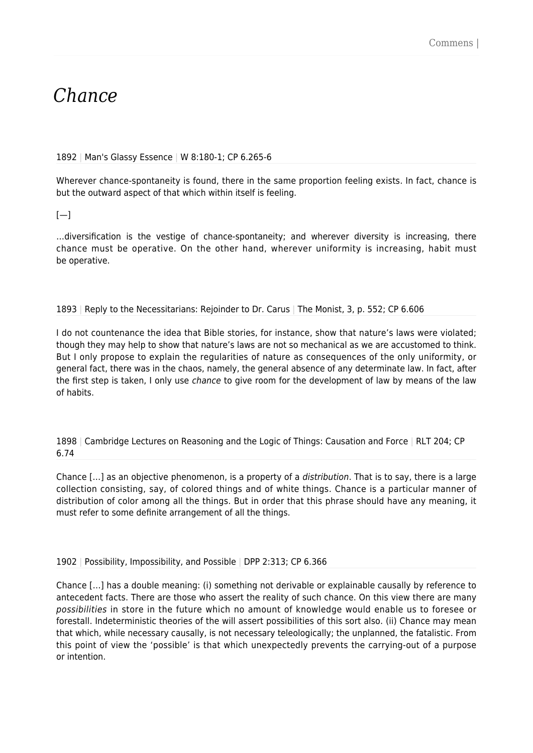# *Chance*

### 1892 | Man's Glassy Essence | W 8:180-1; CP 6.265-6

Wherever chance-spontaneity is found, there in the same proportion feeling exists. In fact, chance is but the outward aspect of that which within itself is feeling.

 $[-]$ 

…diversification is the vestige of chance-spontaneity; and wherever diversity is increasing, there chance must be operative. On the other hand, wherever uniformity is increasing, habit must be operative.

## 1893 | Reply to the Necessitarians: Rejoinder to Dr. Carus | The Monist, 3, p. 552; CP 6.606

I do not countenance the idea that Bible stories, for instance, show that nature's laws were violated; though they may help to show that nature's laws are not so mechanical as we are accustomed to think. But I only propose to explain the regularities of nature as consequences of the only uniformity, or general fact, there was in the chaos, namely, the general absence of any determinate law. In fact, after the first step is taken, I only use *chance* to give room for the development of law by means of the law of habits.

1898 | Cambridge Lectures on Reasoning and the Logic of Things: Causation and Force | RLT 204; CP 6.74

Chance […] as an objective phenomenon, is a property of a distribution. That is to say, there is a large collection consisting, say, of colored things and of white things. Chance is a particular manner of distribution of color among all the things. But in order that this phrase should have any meaning, it must refer to some definite arrangement of all the things.

### 1902 | Possibility, Impossibility, and Possible | DPP 2:313; CP 6.366

Chance […] has a double meaning: (i) something not derivable or explainable causally by reference to antecedent facts. There are those who assert the reality of such chance. On this view there are many possibilities in store in the future which no amount of knowledge would enable us to foresee or forestall. Indeterministic theories of the will assert possibilities of this sort also. (ii) Chance may mean that which, while necessary causally, is not necessary teleologically; the unplanned, the fatalistic. From this point of view the 'possible' is that which unexpectedly prevents the carrying-out of a purpose or intention.